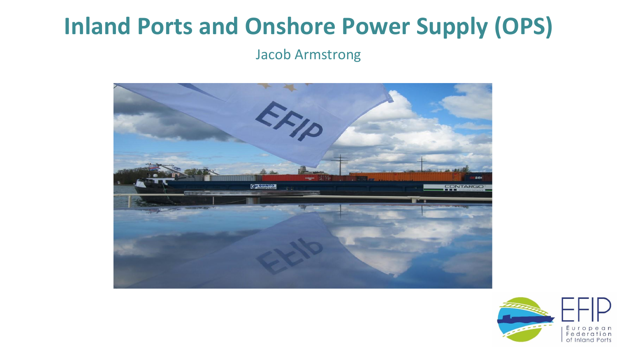#### **Inland Ports and Onshore Power Supply (OPS)**

Jacob Armstrong



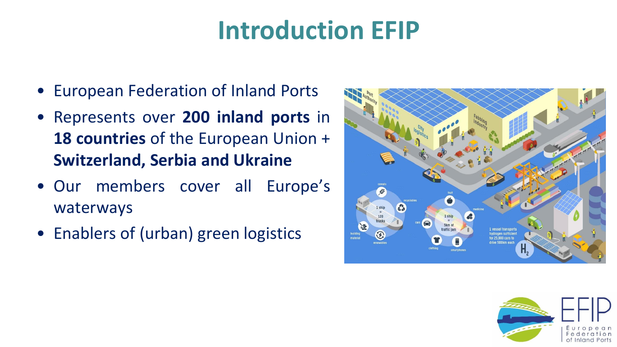# **Introduction EFIP**

- European Federation of Inland Ports
- Represents over **200 inland ports** in **18 countries** of the European Union + **Switzerland, Serbia and Ukraine**
- Our members cover all Europe's waterways
- Enablers of (urban) green logistics



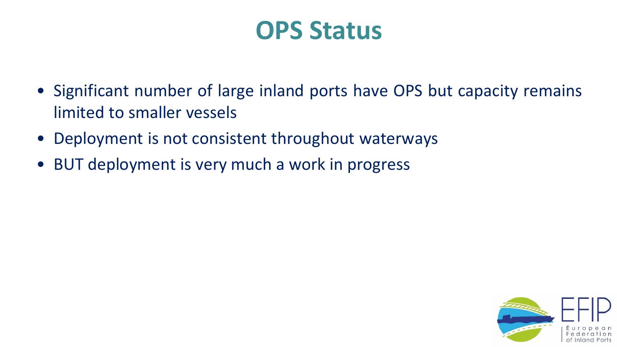#### **OPS Status**

- Significant number of large inland ports have OPS but capacity remains limited to smaller vessels
- Deployment is not consistent throughout waterways
- BUT deployment is very much a work in progress

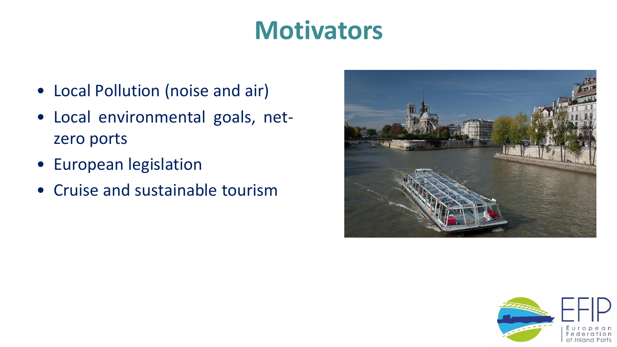### **Motivators**

- Local Pollution (noise and air)
- Local environmental goals, netzero ports
- European legislation
- Cruise and sustainable tourism



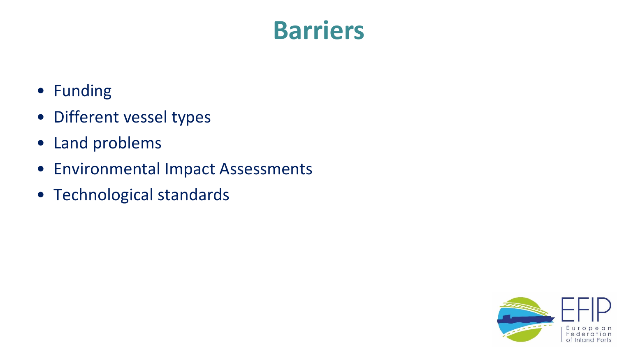#### **Barriers**

- Funding
- Different vessel types
- Land problems
- Environmental Impact Assessments
- Technological standards

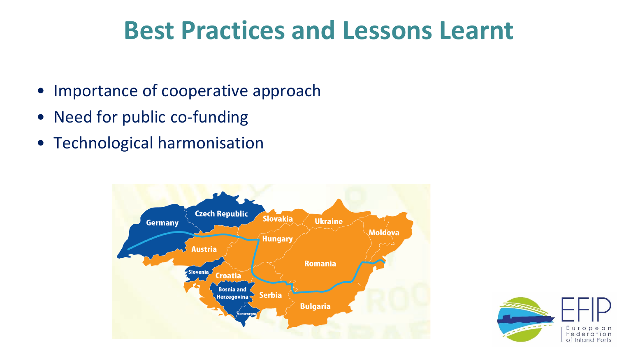#### **Best Practices and Lessons Learnt**

- Importance of cooperative approach
- Need for public co-funding
- Technological harmonisation



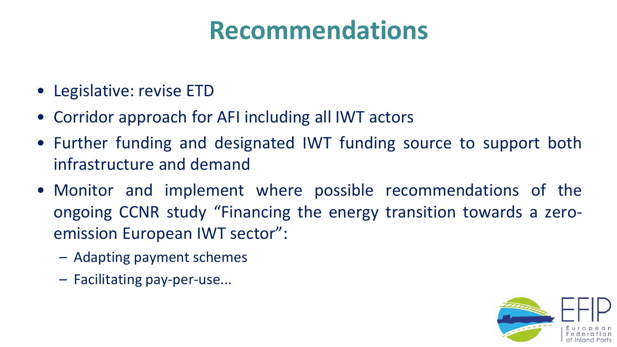## **Recommendations**

- Legislative: revise ETD
- Corridor approach for AFI including all IWT actors
- Further funding and designated IWT funding source to support both infrastructure and demand
- Monitor and implement where possible recommendations of the ongoing CCNR study "Financing the energy transition towards a zeroemission European IWT sector":
	- Adapting payment schemes
	- Facilitating pay-per-use...